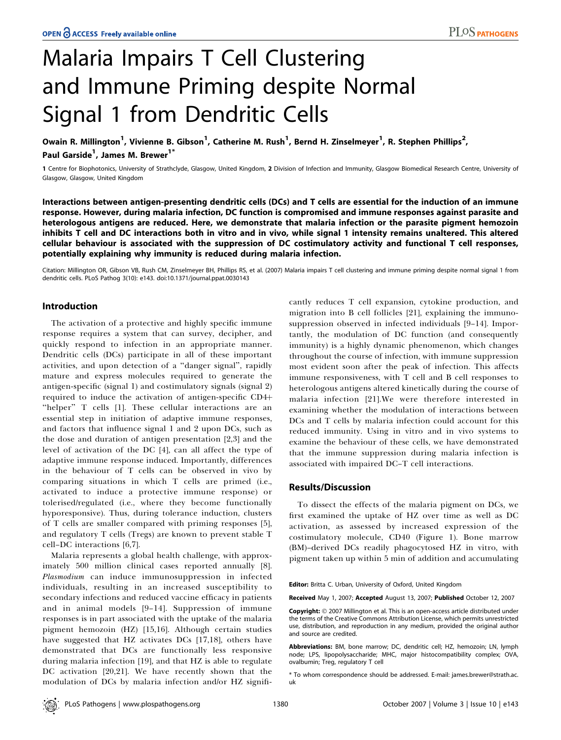# Malaria Impairs T Cell Clustering and Immune Priming despite Normal Signal 1 from Dendritic Cells

Owain R. Millington<sup>1</sup>, Vivienne B. Gibson<sup>1</sup>, Catherine M. Rush<sup>1</sup>, Bernd H. Zinselmeyer<sup>1</sup>, R. Stephen Phillips<sup>2</sup>, Paul Garside<sup>1</sup>, James M. Brewer<sup>1\*</sup>

1 Centre for Biophotonics, University of Strathclyde, Glasgow, United Kingdom, 2 Division of Infection and Immunity, Glasgow Biomedical Research Centre, University of Glasgow, Glasgow, United Kingdom

Interactions between antigen-presenting dendritic cells (DCs) and T cells are essential for the induction of an immune response. However, during malaria infection, DC function is compromised and immune responses against parasite and heterologous antigens are reduced. Here, we demonstrate that malaria infection or the parasite pigment hemozoin inhibits T cell and DC interactions both in vitro and in vivo, while signal 1 intensity remains unaltered. This altered cellular behaviour is associated with the suppression of DC costimulatory activity and functional T cell responses, potentially explaining why immunity is reduced during malaria infection.

Citation: Millington OR, Gibson VB, Rush CM, Zinselmeyer BH, Phillips RS, et al. (2007) Malaria impairs T cell clustering and immune priming despite normal signal 1 from dendritic cells. PLoS Pathog 3(10): e143. doi:10.1371/journal.ppat.0030143

## Introduction

The activation of a protective and highly specific immune response requires a system that can survey, decipher, and quickly respond to infection in an appropriate manner. Dendritic cells (DCs) participate in all of these important activities, and upon detection of a ''danger signal'', rapidly mature and express molecules required to generate the antigen-specific (signal 1) and costimulatory signals (signal 2) required to induce the activation of antigen-specific CD4+ "helper" T cells [1]. These cellular interactions are an essential step in initiation of adaptive immune responses, and factors that influence signal 1 and 2 upon DCs, such as the dose and duration of antigen presentation [2,3] and the level of activation of the DC [4], can all affect the type of adaptive immune response induced. Importantly, differences in the behaviour of T cells can be observed in vivo by comparing situations in which T cells are primed (i.e., activated to induce a protective immune response) or tolerised/regulated (i.e., where they become functionally hyporesponsive). Thus, during tolerance induction, clusters of T cells are smaller compared with priming responses [5], and regulatory T cells (Tregs) are known to prevent stable T cell–DC interactions [6,7].

Malaria represents a global health challenge, with approximately 500 million clinical cases reported annually [8]. Plasmodium can induce immunosuppression in infected individuals, resulting in an increased susceptibility to secondary infections and reduced vaccine efficacy in patients and in animal models [9–14]. Suppression of immune responses is in part associated with the uptake of the malaria pigment hemozoin (HZ) [15,16]. Although certain studies have suggested that HZ activates DCs [17,18], others have demonstrated that DCs are functionally less responsive during malaria infection [19], and that HZ is able to regulate DC activation [20,21]. We have recently shown that the modulation of DCs by malaria infection and/or HZ significantly reduces T cell expansion, cytokine production, and migration into B cell follicles [21], explaining the immunosuppression observed in infected individuals [9–14]. Importantly, the modulation of DC function (and consequently immunity) is a highly dynamic phenomenon, which changes throughout the course of infection, with immune suppression most evident soon after the peak of infection. This affects immune responsiveness, with T cell and B cell responses to heterologous antigens altered kinetically during the course of malaria infection [21].We were therefore interested in examining whether the modulation of interactions between DCs and T cells by malaria infection could account for this reduced immunity. Using in vitro and in vivo systems to examine the behaviour of these cells, we have demonstrated that the immune suppression during malaria infection is associated with impaired DC–T cell interactions.

### Results/Discussion

To dissect the effects of the malaria pigment on DCs, we first examined the uptake of HZ over time as well as DC activation, as assessed by increased expression of the costimulatory molecule, CD40 (Figure 1). Bone marrow (BM)–derived DCs readily phagocytosed HZ in vitro, with pigment taken up within 5 min of addition and accumulating

Editor: Britta C. Urban, University of Oxford, United Kingdom

Received May 1, 2007; Accepted August 13, 2007; Published October 12, 2007

**Copyright:** © 2007 Millington et al. This is an open-access article distributed under the terms of the Creative Commons Attribution License, which permits unrestricted use, distribution, and reproduction in any medium, provided the original author and source are credited.

Abbreviations: BM, bone marrow; DC, dendritic cell; HZ, hemozoin; LN, lymph node; LPS, lipopolysaccharide; MHC, major histocompatibility complex; OVA, ovalbumin; Treg, regulatory T cell

\* To whom correspondence should be addressed. E-mail: james.brewer@strath.ac. uk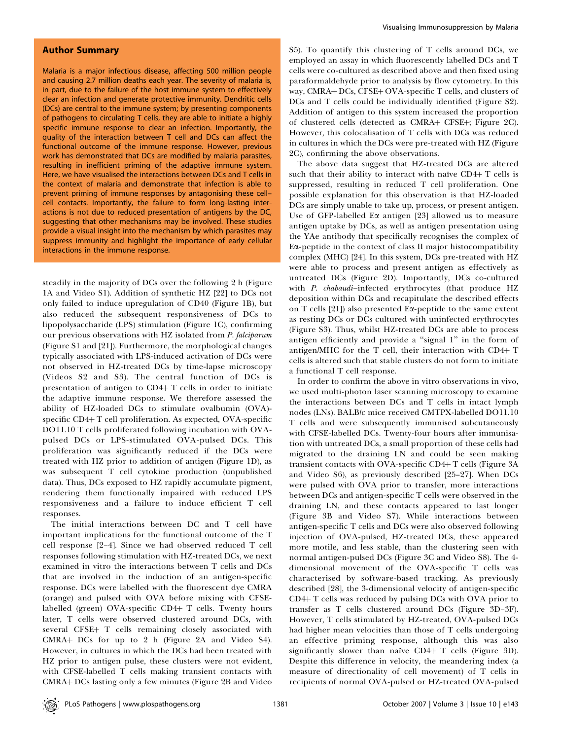# Author Summary

Malaria is a major infectious disease, affecting 500 million people and causing 2.7 million deaths each year. The severity of malaria is, in part, due to the failure of the host immune system to effectively clear an infection and generate protective immunity. Dendritic cells (DCs) are central to the immune system; by presenting components of pathogens to circulating T cells, they are able to initiate a highly specific immune response to clear an infection. Importantly, the quality of the interaction between T cell and DCs can affect the functional outcome of the immune response. However, previous work has demonstrated that DCs are modified by malaria parasites, resulting in inefficient priming of the adaptive immune system. Here, we have visualised the interactions between DCs and T cells in the context of malaria and demonstrate that infection is able to prevent priming of immune responses by antagonising these cell– cell contacts. Importantly, the failure to form long-lasting interactions is not due to reduced presentation of antigens by the DC, suggesting that other mechanisms may be involved. These studies provide a visual insight into the mechanism by which parasites may suppress immunity and highlight the importance of early cellular interactions in the immune response.

steadily in the majority of DCs over the following 2 h (Figure 1A and Video S1). Addition of synthetic HZ [22] to DCs not only failed to induce upregulation of CD40 (Figure 1B), but also reduced the subsequent responsiveness of DCs to lipopolysaccharide (LPS) stimulation (Figure 1C), confirming our previous observations with HZ isolated from P. falciparum (Figure S1 and [21]). Furthermore, the morphological changes typically associated with LPS-induced activation of DCs were not observed in HZ-treated DCs by time-lapse microscopy (Videos S2 and S3). The central function of DCs is presentation of antigen to CD4+ T cells in order to initiate the adaptive immune response. We therefore assessed the ability of HZ-loaded DCs to stimulate ovalbumin (OVA) specific  $CD4+T$  cell proliferation. As expected, OVA-specific DO11.10 T cells proliferated following incubation with OVApulsed DCs or LPS-stimulated OVA-pulsed DCs. This proliferation was significantly reduced if the DCs were treated with HZ prior to addition of antigen (Figure 1D), as was subsequent T cell cytokine production (unpublished data). Thus, DCs exposed to HZ rapidly accumulate pigment, rendering them functionally impaired with reduced LPS responsiveness and a failure to induce efficient T cell responses.

The initial interactions between DC and T cell have important implications for the functional outcome of the T cell response [2–4]. Since we had observed reduced T cell responses following stimulation with HZ-treated DCs, we next examined in vitro the interactions between T cells and DCs that are involved in the induction of an antigen-specific response. DCs were labelled with the fluorescent dye CMRA (orange) and pulsed with OVA before mixing with CFSElabelled (green) OVA-specific CD4+ T cells. Twenty hours later, T cells were observed clustered around DCs, with several CFSE+ T cells remaining closely associated with CMRA+ DCs for up to 2 h (Figure 2A and Video S4). However, in cultures in which the DCs had been treated with HZ prior to antigen pulse, these clusters were not evident, with CFSE-labelled T cells making transient contacts with CMRA+ DCs lasting only a few minutes (Figure 2B and Video

S5). To quantify this clustering of T cells around DCs, we employed an assay in which fluorescently labelled DCs and T cells were co-cultured as described above and then fixed using paraformaldehyde prior to analysis by flow cytometry. In this way, CMRA+ DCs, CFSE+ OVA-specific T cells, and clusters of DCs and T cells could be individually identified (Figure S2). Addition of antigen to this system increased the proportion of clustered cells (detected as CMRA+ CFSE+; Figure 2C). However, this colocalisation of T cells with DCs was reduced in cultures in which the DCs were pre-treated with HZ (Figure 2C), confirming the above observations.

The above data suggest that HZ-treated DCs are altered such that their ability to interact with naı̈ve  $CD4+T$  cells is suppressed, resulting in reduced T cell proliferation. One possible explanation for this observation is that HZ-loaded DCs are simply unable to take up, process, or present antigen. Use of GFP-labelled E $\alpha$  antigen [23] allowed us to measure antigen uptake by DCs, as well as antigen presentation using the YAe antibody that specifically recognises the complex of Ea-peptide in the context of class II major histocompatibility complex (MHC) [24]. In this system, DCs pre-treated with HZ were able to process and present antigen as effectively as untreated DCs (Figure 2D). Importantly, DCs co-cultured with P. chabaudi-infected erythrocytes (that produce HZ deposition within DCs and recapitulate the described effects on T cells [21]) also presented Ea-peptide to the same extent as resting DCs or DCs cultured with uninfected erythrocytes (Figure S3). Thus, whilst HZ-treated DCs are able to process antigen efficiently and provide a "signal 1" in the form of antigen/MHC for the T cell, their interaction with CD4+  $T$ cells is altered such that stable clusters do not form to initiate a functional T cell response.

In order to confirm the above in vitro observations in vivo, we used multi-photon laser scanning microscopy to examine the interactions between DCs and T cells in intact lymph nodes (LNs). BALB/c mice received CMTPX-labelled DO11.10 T cells and were subsequently immunised subcutaneously with CFSE-labelled DCs. Twenty-four hours after immunisation with untreated DCs, a small proportion of these cells had migrated to the draining LN and could be seen making transient contacts with OVA-specific CD4+ T cells (Figure 3A and Video S6), as previously described [25–27]. When DCs were pulsed with OVA prior to transfer, more interactions between DCs and antigen-specific T cells were observed in the draining LN, and these contacts appeared to last longer (Figure 3B and Video S7). While interactions between antigen-specific T cells and DCs were also observed following injection of OVA-pulsed, HZ-treated DCs, these appeared more motile, and less stable, than the clustering seen with normal antigen-pulsed DCs (Figure 3C and Video S8). The 4 dimensional movement of the OVA-specific T cells was characterised by software-based tracking. As previously described [28], the 3-dimensional velocity of antigen-specific  $CD4+T$  cells was reduced by pulsing DCs with OVA prior to transfer as T cells clustered around DCs (Figure 3D–3F). However, T cells stimulated by HZ-treated, OVA-pulsed DCs had higher mean velocities than those of T cells undergoing an effective priming response, although this was also significantly slower than naïve CD4+ T cells (Figure 3D). Despite this difference in velocity, the meandering index (a measure of directionality of cell movement) of T cells in recipients of normal OVA-pulsed or HZ-treated OVA-pulsed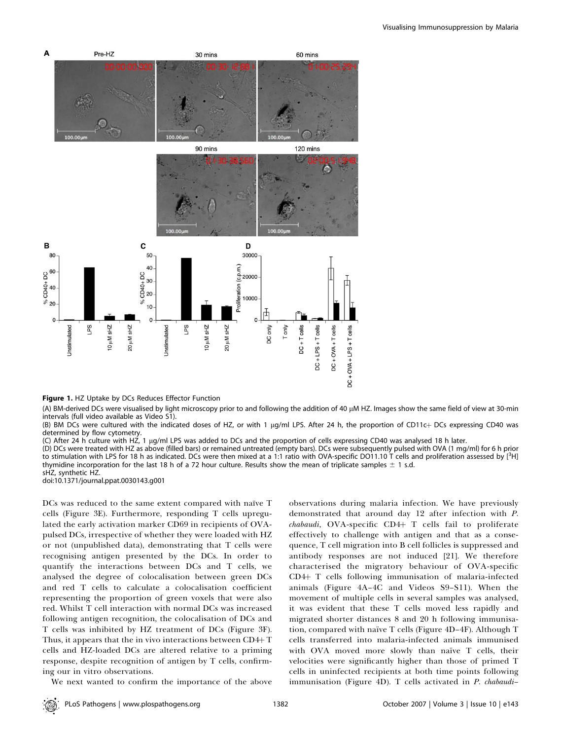

Figure 1. HZ Uptake by DCs Reduces Effector Function

(A) BM-derived DCs were visualised by light microscopy prior to and following the addition of 40 µM HZ. Images show the same field of view at 30-min intervals (full video available as Video S1).

(B) BM DCs were cultured with the indicated doses of HZ, or with 1 µg/ml LPS. After 24 h, the proportion of CD11c+ DCs expressing CD40 was determined by flow cytometry.

(C) After 24 h culture with HZ, 1 lg/ml LPS was added to DCs and the proportion of cells expressing CD40 was analysed 18 h later.

(D) DCs were treated with HZ as above (filled bars) or remained untreated (empty bars). DCs were subsequently pulsed with OVA (1 mg/ml) for 6 h prior to stimulation with LPS for 18 h as indicated. DCs were then mixed at a 1:1 ratio with OVA-specific DO11.10 T cells and proliferation assessed by [<sup>3</sup>H] thymidine incorporation for the last 18 h of a 72 hour culture. Results show the mean of triplicate samples  $\pm$  1 s.d.

sHZ, synthetic HZ. doi:10.1371/journal.ppat.0030143.g001

DCs was reduced to the same extent compared with naïve T cells (Figure 3E). Furthermore, responding T cells upregulated the early activation marker CD69 in recipients of OVApulsed DCs, irrespective of whether they were loaded with HZ or not (unpublished data), demonstrating that T cells were recognising antigen presented by the DCs. In order to quantify the interactions between DCs and T cells, we analysed the degree of colocalisation between green DCs and red T cells to calculate a colocalisation coefficient representing the proportion of green voxels that were also red. Whilst T cell interaction with normal DCs was increased following antigen recognition, the colocalisation of DCs and T cells was inhibited by HZ treatment of DCs (Figure 3F). Thus, it appears that the in vivo interactions between  $CD4+T$ cells and HZ-loaded DCs are altered relative to a priming response, despite recognition of antigen by T cells, confirming our in vitro observations.

We next wanted to confirm the importance of the above

observations during malaria infection. We have previously demonstrated that around day 12 after infection with P.  $chabaudi$ , OVA-specific CD4+ T cells fail to proliferate effectively to challenge with antigen and that as a consequence, T cell migration into B cell follicles is suppressed and antibody responses are not induced [21]. We therefore characterised the migratory behaviour of OVA-specific  $CD4+T$  cells following immunisation of malaria-infected animals (Figure 4A–4C and Videos S9–S11). When the movement of multiple cells in several samples was analysed, it was evident that these T cells moved less rapidly and migrated shorter distances 8 and 20 h following immunisation, compared with naïve T cells (Figure 4D-4F). Although T cells transferred into malaria-infected animals immunised with OVA moved more slowly than naïve  $T$  cells, their velocities were significantly higher than those of primed T cells in uninfected recipients at both time points following immunisation (Figure 4D). T cells activated in P. chabaudi–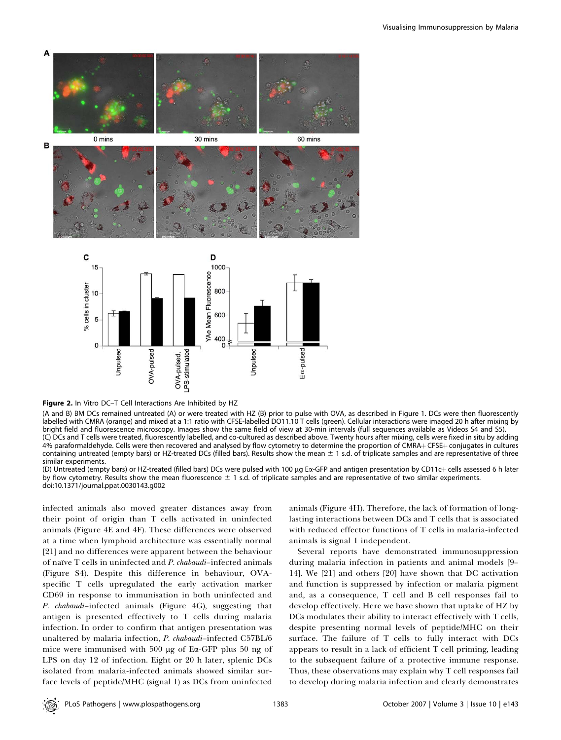

Figure 2. In Vitro DC-T Cell Interactions Are Inhibited by HZ

(A and B) BM DCs remained untreated (A) or were treated with HZ (B) prior to pulse with OVA, as described in Figure 1. DCs were then fluorescently labelled with CMRA (orange) and mixed at a 1:1 ratio with CFSE-labelled DO11.10 T cells (green). Cellular interactions were imaged 20 h after mixing by bright field and fluorescence microscopy. Images show the same field of view at 30-min intervals (full sequences available as Videos S4 and S5). (C) DCs and T cells were treated, fluorescently labelled, and co-cultured as described above. Twenty hours after mixing, cells were fixed in situ by adding 4% paraformaldehyde. Cells were then recovered and analysed by flow cytometry to determine the proportion of CMRA+CFSE+ conjugates in cultures containing untreated (empty bars) or HZ-treated DCs (filled bars). Results show the mean  $\pm$  1 s.d. of triplicate samples and are representative of three similar experiments.

(D) Untreated (empty bars) or HZ-treated (filled bars) DCs were pulsed with 100 µg Ex-GFP and antigen presentation by CD11c+ cells assessed 6 h later by flow cytometry. Results show the mean fluorescence  $\pm$  1 s.d. of triplicate samples and are representative of two similar experiments. doi:10.1371/journal.ppat.0030143.g002

infected animals also moved greater distances away from their point of origin than T cells activated in uninfected animals (Figure 4E and 4F). These differences were observed at a time when lymphoid architecture was essentially normal [21] and no differences were apparent between the behaviour of naïve T cells in uninfected and P. chabaudi–infected animals (Figure S4). Despite this difference in behaviour, OVAspecific T cells upregulated the early activation marker CD69 in response to immunisation in both uninfected and P. chabaudi-infected animals (Figure 4G), suggesting that antigen is presented effectively to T cells during malaria infection. In order to confirm that antigen presentation was unaltered by malaria infection, P. chabaudi–infected C57BL/6 mice were immunised with 500 µg of Ea-GFP plus 50 ng of LPS on day 12 of infection. Eight or 20 h later, splenic DCs isolated from malaria-infected animals showed similar surface levels of peptide/MHC (signal 1) as DCs from uninfected animals (Figure 4H). Therefore, the lack of formation of longlasting interactions between DCs and T cells that is associated with reduced effector functions of T cells in malaria-infected animals is signal 1 independent.

Several reports have demonstrated immunosuppression during malaria infection in patients and animal models [9– 14]. We [21] and others [20] have shown that DC activation and function is suppressed by infection or malaria pigment and, as a consequence, T cell and B cell responses fail to develop effectively. Here we have shown that uptake of HZ by DCs modulates their ability to interact effectively with T cells, despite presenting normal levels of peptide/MHC on their surface. The failure of T cells to fully interact with DCs appears to result in a lack of efficient T cell priming, leading to the subsequent failure of a protective immune response. Thus, these observations may explain why T cell responses fail to develop during malaria infection and clearly demonstrates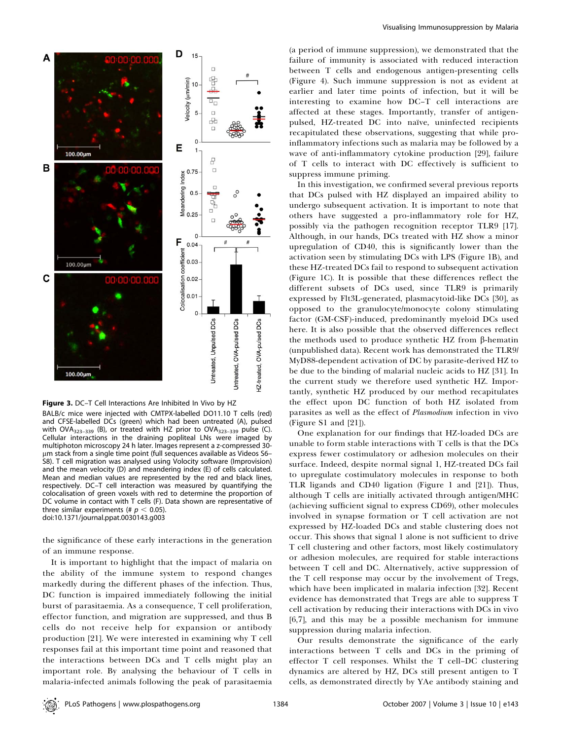



BALB/c mice were injected with CMTPX-labelled DO11.10 T cells (red) and CFSE-labelled DCs (green) which had been untreated (A), pulsed with OVA $_{323-339}$  (B), or treated with HZ prior to OVA $_{323-339}$  pulse (C). Cellular interactions in the draining popliteal LNs were imaged by multiphoton microscopy 24 h later. Images represent a z-compressed 30 lm stack from a single time point (full sequences available as Videos S6– S8). T cell migration was analysed using Volocity software (Improvision) and the mean velocity (D) and meandering index (E) of cells calculated. Mean and median values are represented by the red and black lines, respectively. DC–T cell interaction was measured by quantifying the colocalisation of green voxels with red to determine the proportion of DC volume in contact with T cells (F). Data shown are representative of three similar experiments (#  $p < 0.05$ ). doi:10.1371/journal.ppat.0030143.g003

the significance of these early interactions in the generation of an immune response.

It is important to highlight that the impact of malaria on the ability of the immune system to respond changes markedly during the different phases of the infection. Thus, DC function is impaired immediately following the initial burst of parasitaemia. As a consequence, T cell proliferation, effector function, and migration are suppressed, and thus B cells do not receive help for expansion or antibody production [21]. We were interested in examining why T cell responses fail at this important time point and reasoned that the interactions between DCs and T cells might play an important role. By analysing the behaviour of T cells in malaria-infected animals following the peak of parasitaemia

(a period of immune suppression), we demonstrated that the failure of immunity is associated with reduced interaction between T cells and endogenous antigen-presenting cells (Figure 4). Such immune suppression is not as evident at earlier and later time points of infection, but it will be interesting to examine how DC–T cell interactions are affected at these stages. Importantly, transfer of antigenpulsed, HZ-treated DC into naïve, uninfected recipients recapitulated these observations, suggesting that while proinflammatory infections such as malaria may be followed by a wave of anti-inflammatory cytokine production [29], failure of T cells to interact with DC effectively is sufficient to suppress immune priming.

In this investigation, we confirmed several previous reports that DCs pulsed with HZ displayed an impaired ability to undergo subsequent activation. It is important to note that others have suggested a pro-inflammatory role for HZ, possibly via the pathogen recognition receptor TLR9 [17]. Although, in our hands, DCs treated with HZ show a minor upregulation of CD40, this is significantly lower than the activation seen by stimulating DCs with LPS (Figure 1B), and these HZ-treated DCs fail to respond to subsequent activation (Figure 1C). It is possible that these differences reflect the different subsets of DCs used, since TLR9 is primarily expressed by Flt3L-generated, plasmacytoid-like DCs [30], as opposed to the granulocyte/monocyte colony stimulating factor (GM-CSF)-induced, predominantly myeloid DCs used here. It is also possible that the observed differences reflect the methods used to produce synthetic HZ from  $\beta$ -hematin (unpublished data). Recent work has demonstrated the TLR9/ MyD88-dependent activation of DC by parasite-derived HZ to be due to the binding of malarial nucleic acids to HZ [31]. In the current study we therefore used synthetic HZ. Importantly, synthetic HZ produced by our method recapitulates the effect upon DC function of both HZ isolated from parasites as well as the effect of Plasmodium infection in vivo (Figure S1 and [21]).

One explanation for our findings that HZ-loaded DCs are unable to form stable interactions with T cells is that the DCs express fewer costimulatory or adhesion molecules on their surface. Indeed, despite normal signal 1, HZ-treated DCs fail to upregulate costimulatory molecules in response to both TLR ligands and CD40 ligation (Figure 1 and [21]). Thus, although T cells are initially activated through antigen/MHC (achieving sufficient signal to express CD69), other molecules involved in synapse formation or T cell activation are not expressed by HZ-loaded DCs and stable clustering does not occur. This shows that signal 1 alone is not sufficient to drive T cell clustering and other factors, most likely costimulatory or adhesion molecules, are required for stable interactions between T cell and DC. Alternatively, active suppression of the T cell response may occur by the involvement of Tregs, which have been implicated in malaria infection [32]. Recent evidence has demonstrated that Tregs are able to suppress T cell activation by reducing their interactions with DCs in vivo [6,7], and this may be a possible mechanism for immune suppression during malaria infection.

Our results demonstrate the significance of the early interactions between T cells and DCs in the priming of effector T cell responses. Whilst the T cell–DC clustering dynamics are altered by HZ, DCs still present antigen to T cells, as demonstrated directly by YAe antibody staining and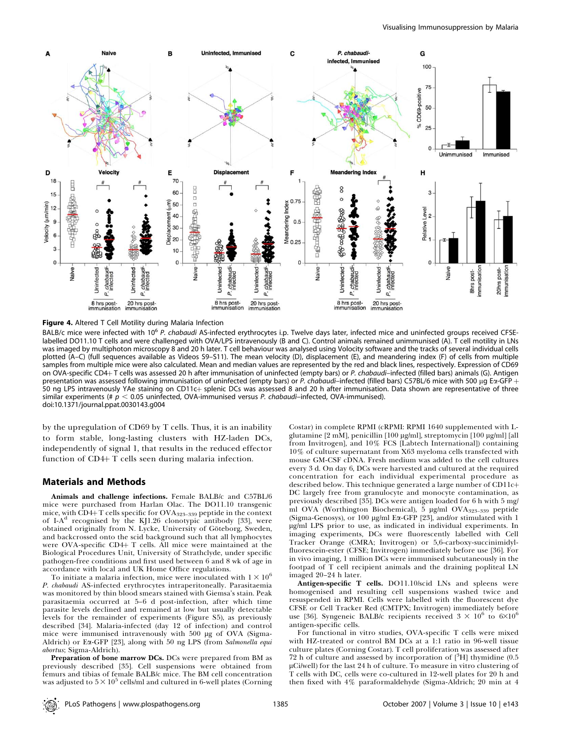

Figure 4. Altered T Cell Motility during Malaria Infection

BALB/c mice were infected with 10<sup>6</sup> P. chabaudi AS-infected erythrocytes i.p. Twelve days later, infected mice and uninfected groups received CFSElabelled DO11.10 T cells and were challenged with OVA/LPS intravenously (B and C). Control animals remained unimmunised (A). T cell motility in LNs was imaged by multiphoton microscopy 8 and 20 h later. T cell behaviour was analysed using Volocity software and the tracks of several individual cells plotted (A–C) (full sequences available as Videos S9–S11). The mean velocity (D), displacement (E), and meandering index (F) of cells from multiple samples from multiple mice were also calculated. Mean and median values are represented by the red and black lines, respectively. Expression of CD69 on OVA-specific CD4+T cells was assessed 20 h after immunisation of uninfected (empty bars) or P. chabaudi–infected (filled bars) animals (G). Antigen presentation was assessed following immunisation of uninfected (empty bars) or P. chabaudi–infected (filled bars) C57BL/6 mice with 500 µg Eα-GFP  $+$ 50 ng LPS intravenously YAe staining on CD11c+ splenic DCs was assessed 8 and 20 h after immunisation. Data shown are representative of three similar experiments (#  $p < 0.05$  uninfected, OVA-immunised versus P. chabaudi–infected, OVA-immunised). doi:10.1371/journal.ppat.0030143.g004

by the upregulation of CD69 by T cells. Thus, it is an inability to form stable, long-lasting clusters with HZ-laden DCs, independently of signal 1, that results in the reduced effector function of  $CD4+T$  cells seen during malaria infection.

### Materials and Methods

Animals and challenge infections. Female BALB/c and C57BL/6 mice were purchased from Harlan Olac. The DO11.10 transgenic mice, with CD4+T cells specific for  $OVA_{323-339}$  peptide in the context of I- $A<sup>d</sup>$  recognised by the KJ1.26 clonotypic antibody [33], were obtained originally from N. Lycke, University of Göteborg, Sweden, and backcrossed onto the scid background such that all lymphocytes were OVA-specific CD4+ T cells. All mice were maintained at the Biological Procedures Unit, University of Strathclyde, under specific pathogen-free conditions and first used between 6 and 8 wk of age in accordance with local and UK Home Office regulations.

To initiate a malaria infection, mice were inoculated with  $1 \times 10^6$ P. chabaudi AS-infected erythrocytes intraperitoneally. Parasitaemia was monitored by thin blood smears stained with Giemsa's stain. Peak parasitaemia occurred at 5–6 d post-infection, after which time parasite levels declined and remained at low but usually detectable levels for the remainder of experiments (Figure S5), as previously described [34]. Malaria-infected (day 12 of infection) and control mice were immunised intravenously with 500 µg of OVA (Sigma-Aldrich) or Ex-GFP [23], along with 50 ng LPS (from Salmonella equi abortus; Sigma-Aldrich).

Preparation of bone marrow DCs. DCs were prepared from BM as previously described [35]. Cell suspensions were obtained from femurs and tibias of female BALB/c mice. The BM cell concentration was adjusted to  $5\times 10^5$  cells/ml and cultured in 6-well plates (Corning

Costar) in complete RPMI (cRPMI: RPMI 1640 supplemented with Lglutamine [2 mM], penicillin [100 μg/ml], streptomycin [100 μg/ml] [all from Invitrogen], and 10% FCS [Labtech International]) containing 10% of culture supernatant from X63 myeloma cells transfected with mouse GM-CSF cDNA. Fresh medium was added to the cell cultures every 3 d. On day 6, DCs were harvested and cultured at the required concentration for each individual experimental procedure as described below. This technique generated a large number of  $CD11c+$ DC largely free from granulocyte and monocyte contamination, as previously described [35]. DCs were antigen loaded for 6 h with 5 mg/ ml OVA (Worthington Biochemical), 5 µg/ml OVA<sub>323-339</sub> peptide (Sigma-Genosys), or 100 μg/ml Eα-GFP [23], and/or stimulated with 1 lg/ml LPS prior to use, as indicated in individual experiments. In imaging experiments, DCs were fluorescently labelled with Cell Tracker Orange (CMRA; Invitrogen) or 5,6-carboxy-succinimidylfluorescein-ester (CFSE; Invitrogen) immediately before use [36]. For in vivo imaging, 1 million DCs were immunised subcutaneously in the footpad of T cell recipient animals and the draining popliteal LN imaged 20–24 h later.

Antigen-specific T cells. DO11.10/scid LNs and spleens were homogenised and resulting cell suspensions washed twice and resuspended in RPMI. Cells were labelled with the fluorescent dye CFSE or Cell Tracker Red (CMTPX; Invitrogen) immediately before use [36]. Syngeneic BALB/c recipients received  $3 \times 10^6$  to  $6 \times 10^6$ antigen-specific cells.

For functional in vitro studies, OVA-specific T cells were mixed with HZ-treated or control BM DCs at a 1:1 ratio in 96-well tissue culture plates (Corning Costar). T cell proliferation was assessed after 72 h of culture and assessed by incorporation of  $[^{3}H]$  thymidine (0.5  $\mu$ Ci/well) for the last 24 h of culture. To measure in vitro clustering of T cells with DC, cells were co-cultured in 12-well plates for 20 h and then fixed with 4% paraformaldehyde (Sigma-Aldrich; 20 min at 4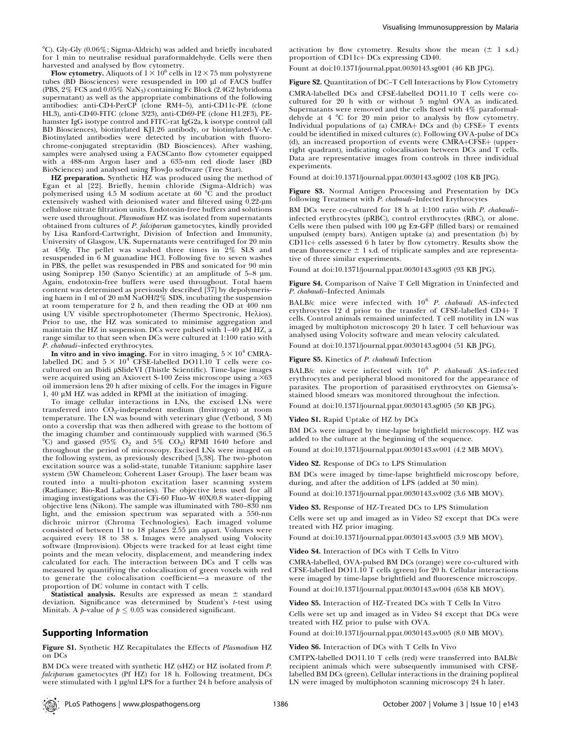$^{\circ}$ C). Gly-Gly (0.06%; Sigma-Aldrich) was added and briefly incubated for 1 min to neutralise residual paraformaldehyde. Cells were then harvested and analysed by flow cytometry.

**Flow cytometry.** Aliquots of  $1 \times 10^6$  cells in  $12 \times 75$  mm polystyrene tubes (BD Biosciences) were resuspended in 100  $\mu$ l of FACS buffer (PBS, 2% FCS and 0.05% NaN3) containing Fc Block (2.4G2 hybridoma supernatant) as well as the appropriate combinations of the following antibodies: anti-CD4-PerCP (clone RM4–5), anti-CD11c-PE (clone HL3), anti-CD40-FITC (clone 3/23), anti-CD69-PE (clone H1.2F3), PEhamster IgG isotype control and FITC-rat IgG2a, k isotype control (all BD Biosciences), biotinylated KJ1.26 antibody, or biotinylated-Y-Ae. Biotinylated antibodies were detected by incubation with fluorochrome-conjugated streptavidin (BD Biosciences). After washing, samples were analysed using a FACSCanto flow cytometer equipped with a 488-nm Argon laser and a 635-nm red diode laser (BD BioSciences) and analysed using FlowJo software (Tree Star).

HZ preparation. Synthetic HZ was produced using the method of Egan et al [22]. Briefly, hemin chloride (Sigma-Aldrich) was polymerised using 4.5 M sodium acetate at 60  $\degree$ C and the product extensively washed with deionised water and filtered using 0.22-um cellulose nitrate filtration units. Endotoxin-free buffers and solutions were used throughout. Plasmodium HZ was isolated from supernatants obtained from cultures of P. falciparum gametocytes, kindly provided by Lisa Ranford-Cartwright, Division of Infection and Immunity, University of Glasgow, UK. Supernatants were centrifuged for 20 min at 450g. The pellet was washed three times in 2% SLS and resuspended in 6 M guanadine HCl. Following five to seven washes in PBS, the pellet was resuspended in PBS and sonicated for 90 min using Soniprep 150 (Sanyo Scientific) at an amplitude of  $5-8$  µm. Again, endotoxin-free buffers were used throughout. Total haem content was determined as previously described [37] by depolymerising haem in 1 ml of 20 mM NaOH/2% SDS, incubating the suspension at room temperature for 2 h, and then reading the OD at 400 nm using UV visible spectrophotometer (Thermo Spectronic, Hekios). Prior to use, the HZ was sonicated to minimise aggregation and maintain the HZ in suspension. DCs were pulsed with  $1-40 \mu M$  HZ, a range similar to that seen when DCs were cultured at 1:100 ratio with P. chabaudi–infected erythrocytes.

In vitro and in vivo imaging. For in vitro imaging,  $5 \times 10^4$  CMRAlabelled DC and  $5 \times 10^4$  CFSE-labelled DO11.10 T cells were cocultured on an Ibidi µSlideVI (Thistle Scientific). Time-lapse images were acquired using an Axiovert S-100 Zeiss microscope using a  $\times 63$ oil immersion lens 20 h after mixing of cells. For the images in Figure  $1, 40 \mu M$  HZ was added in RPMI at the initiation of imaging.

To image cellular interactions in LNs, the excised LNs were transferred into CO<sub>2</sub>-independent medium (Invitrogen) at room temperature. The LN was bound with veterinary glue (Vetbond, 3 M) onto a coverslip that was then adhered with grease to the bottom of the imaging chamber and continuously supplied with warmed (36.5 °C) and gassed (95%  $O_2$  and 5%  $CO_2$ ) RPMI 1640 before and throughout the period of microscopy. Excised LNs were imaged on the following system, as previously described [5,38]. The two-photon excitation source was a solid-state, tunable Titanium: sapphire laser system (5W Chameleon; Coherent Laser Group). The laser beam was routed into a multi-photon excitation laser scanning system (Radiance; Bio-Rad Laboratories). The objective lens used for all imaging investigations was the CFi-60 Fluo-W 40X/0.8 water-dipping objective lens (Nikon). The sample was illuminated with 780–830 nm light, and the emission spectrum was separated with a 550-nm dichroic mirror (Chroma Technologies). Each imaged volume consisted of between 11 to 18 planes  $2.55 \mu m$  apart. Volumes were acquired every 18 to 38 s. Images were analysed using Volocity software (Improvision). Objects were tracked for at least eight time points and the mean velocity, displacement, and meandering index calculated for each. The interaction between DCs and T cells was measured by quantifying the colocalisation of green voxels with red to generate the colocalisation coefficient—a measure of the proportion of DC volume in contact with T cells.

**Statistical analysis.** Results are expressed as mean  $\pm$  standard deviation. Significance was determined by Student's t-test using Minitab. A *p*-value of  $p \leq 0.05$  was considered significant.

#### Supporting Information

Figure S1. Synthetic HZ Recapitulates the Effects of Plasmodium HZ on DCs

BM DCs were treated with synthetic HZ (sHZ) or HZ isolated from P. falciparum gametocytes (Pf HZ) for 18 h. Following treatment, DCs were stimulated with 1 µg/ml LPS for a further 24 h before analysis of activation by flow cytometry. Results show the mean  $(\pm 1 \text{ s.d.})$ proportion of CD11c+ DCs expressing CD40.

Fount at doi:10.1371/journal.ppat.0030143.sg001 (46 KB JPG).

Figure S2. Quantitation of DC–T Cell Interactions by Flow Cytometry CMRA-labelled DCs and CFSE-labelled DO11.10 T cells were cocultured for 20 h with or without 5 mg/ml OVA as indicated. Supernatants were removed and the cells fixed with 4% paraformaldehyde at 4 °C for 20 min prior to analysis by flow cytometry. Individual populations of (a)  $\overline{CMRA}$  DCs and (b) CFSE $+$  T events could be identified in mixed cultures (c). Following OVA-pulse of DCs (d), an increased proportion of events were CMRA+CFSE+ (upperright quadrant), indicating colocalisation between DCs and T cells. Data are representative images from controls in three individual experiments.

Found at doi:10.1371/journal.ppat.0030143.sg002 (108 KB JPG).

Figure S3. Normal Antigen Processing and Presentation by DCs following Treatment with P. chabaudi–Infected Erythrocytes

BM DCs were co-cultured for 18 h at 1:100 ratio with P. chabaudi– infected erythrocytes (pRBC), control erythrocytes (RBC), or alone. Cells were then pulsed with 100 µg Ea-GFP (filled bars) or remained unpulsed (empty bars). Antigen uptake (a) and presentation (b) by CD11c+ cells assessed 6 h later by flow cytometry. Results show the mean fluorescence  $\pm$  1 s.d. of triplicate samples and are representative of three similar experiments.

Found at doi:10.1371/journal.ppat.0030143.sg003 (93 KB JPG).

Figure S4. Comparison of Naïve T Cell Migration in Uninfected and P. chabaudi–Infected Animals

BALB/c mice were infected with  $10^6$  P. chabaudi AS-infected erythrocytes 12 d prior to the transfer of CFSE-labelled CD4+ T cells. Control animals remained uninfected. T cell motility in LN was imaged by multiphoton microscopy 20 h later. T cell behaviour was analysed using Volocity software and mean velocity calculated.

Found at doi:10.1371/journal.ppat.0030143.sg004 (51 KB JPG).

Figure S5. Kinetics of P. chabaudi Infection

BALB/c mice were infected with  $10^6$  *P. chabaudi* AS-infected erythrocytes and peripheral blood monitored for the appearance of parasites. The proportion of parasitised erythrocytes on Giemsa'sstained blood smears was monitored throughout the infection.

Found at doi:10.1371/journal.ppat.0030143.sg005 (50 KB JPG).

Video S1. Rapid Uptake of HZ by DCs

BM DCs were imaged by time-lapse brightfield microscopy. HZ was added to the culture at the beginning of the sequence.

Found at doi:10.1371/journal.ppat.0030143.sv001 (4.2 MB MOV).

Video S2. Response of DCs to LPS Stimulation

BM DCs were imaged by time-lapse brightfield microscopy before, during, and after the addition of LPS (added at 30 min).

Found at doi:10.1371/journal.ppat.0030143.sv002 (3.6 MB MOV).

Video S3. Response of HZ-Treated DCs to LPS Stimulation

Cells were set up and imaged as in Video S2 except that DCs were treated with HZ prior imaging.

Found at doi:10.1371/journal.ppat.0030143.sv003 (3.9 MB MOV).

Video S4. Interaction of DCs with T Cells In Vitro

CMRA-labelled, OVA-pulsed BM DCs (orange) were co-cultured with CFSE-labelled DO11.10 T cells (green) for 20 h. Cellular interactions were imaged by time-lapse brightfield and fluorescence microscopy.

Found at doi:10.1371/journal.ppat.0030143.sv004 (658 KB MOV).

Video S5. Interaction of HZ-Treated DCs with T Cells In Vitro

Cells were set up and imaged as in Video S4 except that DCs were treated with HZ prior to pulse with OVA.

Found at doi:10.1371/journal.ppat.0030143.sv005 (8.0 MB MOV).

Video S6. Interaction of DCs with T Cells In Vivo

CMTPX-labelled DO11.10 T cells (red) were transferred into BALB/c recipient animals which were subsequently immunised with CFSElabelled BM DCs (green). Cellular interactions in the draining popliteal LN were imaged by multiphoton scanning microscopy 24 h later.